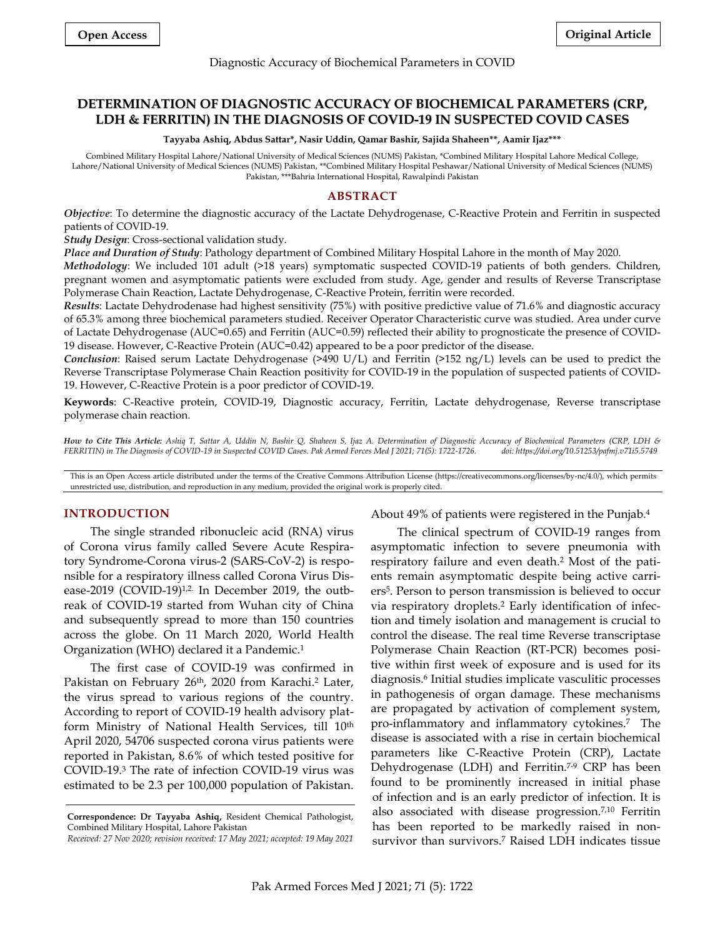#### Diagnostic Accuracy of Biochemical Parameters in COVID

# **DETERMINATION OF DIAGNOSTIC ACCURACY OF BIOCHEMICAL PARAMETERS (CRP, LDH & FERRITIN) IN THE DIAGNOSIS OF COVID-19 IN SUSPECTED COVID CASES**

**Tayyaba Ashiq, Abdus Sattar\*, Nasir Uddin, Qamar Bashir, Sajida Shaheen\*\*, Aamir Ijaz\*\*\***

Combined Military Hospital Lahore/National University of Medical Sciences (NUMS) Pakistan, \*Combined Military Hospital Lahore Medical College, Lahore/National University of Medical Sciences (NUMS) Pakistan, \*\*Combined Military Hospital Peshawar/National University of Medical Sciences (NUMS) Pakistan, \*\*\*Bahria International Hospital, Rawalpindi Pakistan

## **ABSTRACT**

*Objective*: To determine the diagnostic accuracy of the Lactate Dehydrogenase, C-Reactive Protein and Ferritin in suspected patients of COVID-19.

*Study Design*: Cross-sectional validation study.

*Place and Duration of Study*: Pathology department of Combined Military Hospital Lahore in the month of May 2020.

*Methodology*: We included 101 adult (>18 years) symptomatic suspected COVID-19 patients of both genders. Children, pregnant women and asymptomatic patients were excluded from study. Age, gender and results of Reverse Transcriptase Polymerase Chain Reaction, Lactate Dehydrogenase, C-Reactive Protein, ferritin were recorded.

*Results*: Lactate Dehydrodenase had highest sensitivity (75%) with positive predictive value of 71.6% and diagnostic accuracy of 65.3% among three biochemical parameters studied. Receiver Operator Characteristic curve was studied. Area under curve of Lactate Dehydrogenase (AUC=0.65) and Ferritin (AUC=0.59) reflected their ability to prognosticate the presence of COVID-19 disease. However, C-Reactive Protein (AUC=0.42) appeared to be a poor predictor of the disease.

*Conclusion*: Raised serum Lactate Dehydrogenase (>490 U/L) and Ferritin (>152 ng/L) levels can be used to predict the Reverse Transcriptase Polymerase Chain Reaction positivity for COVID-19 in the population of suspected patients of COVID-19. However, C-Reactive Protein is a poor predictor of COVID-19.

**Keywords**: C-Reactive protein, COVID-19, Diagnostic accuracy, Ferritin, Lactate dehydrogenase, Reverse transcriptase polymerase chain reaction.

*How to Cite This Article: Ashiq T, Sattar A, Uddin N, Bashir Q, Shaheen S, Ijaz A. Determination of Diagnostic Accuracy of Biochemical Parameters (CRP, LDH & FERRITIN) in The Diagnosis of COVID-19 in Suspected COVID Cases. Pak Armed Forces Med J 2021; 71(5): 1722-1726.* 

This is an Open Access article distributed under the terms of the Creative Commons Attribution License (https://creativecommons.org/licenses/by-nc/4.0/), which permits unrestricted use, distribution, and reproduction in any medium, provided the original work is properly cited.

## **INTRODUCTION**

The single stranded ribonucleic acid (RNA) virus of Corona virus family called Severe Acute Respiratory Syndrome-Corona virus-2 (SARS-CoV-2) is responsible for a respiratory illness called Corona Virus Disease-2019 (COVID-19)<sup>1,2.</sup> In December 2019, the outbreak of COVID-19 started from Wuhan city of China and subsequently spread to more than 150 countries across the globe. On 11 March 2020, World Health Organization (WHO) declared it a Pandemic. 1

The first case of COVID-19 was confirmed in Pakistan on February 26<sup>th</sup>, 2020 from Karachi.<sup>2</sup> Later, the virus spread to various regions of the country. According to report of COVID-19 health advisory platform Ministry of National Health Services, till 10th April 2020, 54706 suspected corona virus patients were reported in Pakistan, 8.6% of which tested positive for COVID-19. <sup>3</sup> The rate of infection COVID-19 virus was estimated to be 2.3 per 100,000 population of Pakistan.

About 49% of patients were registered in the Punjab. 4

The clinical spectrum of COVID-19 ranges from asymptomatic infection to severe pneumonia with respiratory failure and even death. <sup>2</sup> Most of the patients remain asymptomatic despite being active carriers<sup>5</sup> . Person to person transmission is believed to occur via respiratory droplets. <sup>2</sup> Early identification of infection and timely isolation and management is crucial to control the disease. The real time Reverse transcriptase Polymerase Chain Reaction (RT-PCR) becomes positive within first week of exposure and is used for its diagnosis. 6 Initial studies implicate vasculitic processes in pathogenesis of organ damage. These mechanisms are propagated by activation of complement system, pro-inflammatory and inflammatory cytokines. 7 The disease is associated with a rise in certain biochemical parameters like C-Reactive Protein (CRP), Lactate Dehydrogenase (LDH) and Ferritin. 7-9 CRP has been found to be prominently increased in initial phase of infection and is an early predictor of infection. It is also associated with disease progression. 7,10 Ferritin has been reported to be markedly raised in nonsurvivor than survivors. <sup>7</sup> Raised LDH indicates tissue

**Correspondence: Dr Tayyaba Ashiq,** Resident Chemical Pathologist, Combined Military Hospital, Lahore Pakistan

*Received: 27 Nov 2020; revision received: 17 May 2021; accepted: 19 May 2021*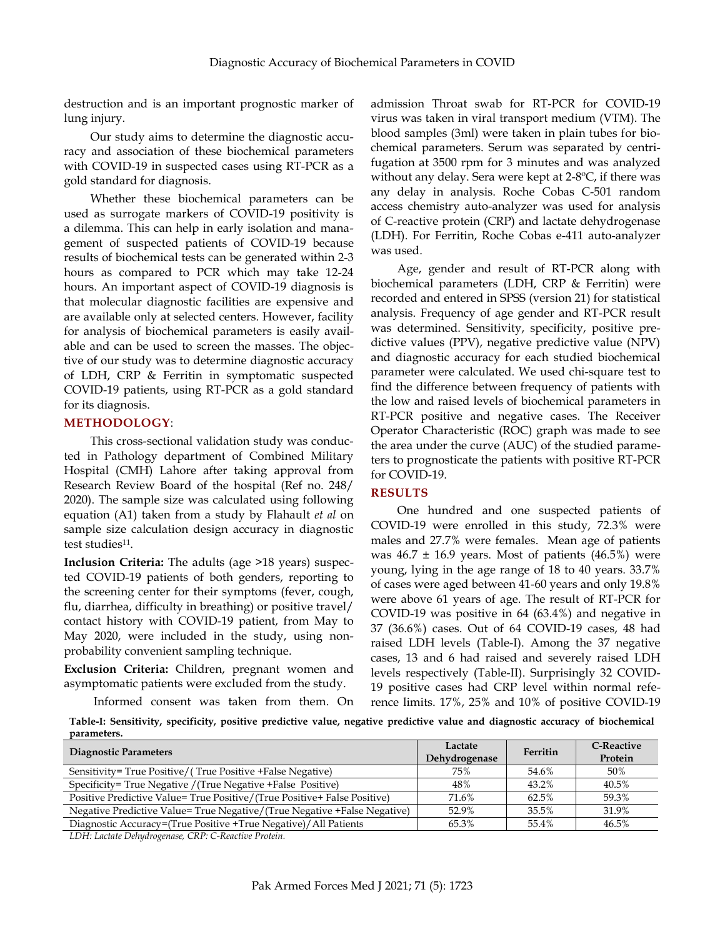destruction and is an important prognostic marker of lung injury.

Our study aims to determine the diagnostic accuracy and association of these biochemical parameters with COVID-19 in suspected cases using RT-PCR as a gold standard for diagnosis.

Whether these biochemical parameters can be used as surrogate markers of COVID-19 positivity is a dilemma. This can help in early isolation and management of suspected patients of COVID-19 because results of biochemical tests can be generated within 2-3 hours as compared to PCR which may take 12-24 hours. An important aspect of COVID-19 diagnosis is that molecular diagnostic facilities are expensive and are available only at selected centers. However, facility for analysis of biochemical parameters is easily available and can be used to screen the masses. The objective of our study was to determine diagnostic accuracy of LDH, CRP & Ferritin in symptomatic suspected COVID-19 patients, using RT-PCR as a gold standard for its diagnosis.

## **METHODOLOGY**:

This cross-sectional validation study was conducted in Pathology department of Combined Military Hospital (CMH) Lahore after taking approval from Research Review Board of the hospital (Ref no. 248/ 2020). The sample size was calculated using following equation (A1) taken from a study by Flahault *et al* on sample size calculation design accuracy in diagnostic test studies<sup>11</sup>.

**Inclusion Criteria:** The adults (age >18 years) suspected COVID-19 patients of both genders, reporting to the screening center for their symptoms (fever, cough, flu, diarrhea, difficulty in breathing) or positive travel/ contact history with COVID-19 patient, from May to May 2020, were included in the study, using nonprobability convenient sampling technique.

**Exclusion Criteria:** Children, pregnant women and asymptomatic patients were excluded from the study.

Informed consent was taken from them. On

admission Throat swab for RT-PCR for COVID-19 virus was taken in viral transport medium (VTM). The blood samples (3ml) were taken in plain tubes for biochemical parameters. Serum was separated by centrifugation at 3500 rpm for 3 minutes and was analyzed without any delay. Sera were kept at  $2-8$ <sup>o</sup>C, if there was any delay in analysis. Roche Cobas C-501 random access chemistry auto-analyzer was used for analysis of C-reactive protein (CRP) and lactate dehydrogenase (LDH). For Ferritin, Roche Cobas e-411 auto-analyzer was used.

Age, gender and result of RT-PCR along with biochemical parameters (LDH, CRP & Ferritin) were recorded and entered in SPSS (version 21) for statistical analysis. Frequency of age gender and RT-PCR result was determined. Sensitivity, specificity, positive predictive values (PPV), negative predictive value (NPV) and diagnostic accuracy for each studied biochemical parameter were calculated. We used chi-square test to find the difference between frequency of patients with the low and raised levels of biochemical parameters in RT-PCR positive and negative cases. The Receiver Operator Characteristic (ROC) graph was made to see the area under the curve (AUC) of the studied parameters to prognosticate the patients with positive RT-PCR for COVID-19.

### **RESULTS**

One hundred and one suspected patients of COVID-19 were enrolled in this study, 72.3% were males and 27.7% were females. Mean age of patients was  $46.7 \pm 16.9$  years. Most of patients  $(46.5\%)$  were young, lying in the age range of 18 to 40 years. 33.7% of cases were aged between 41-60 years and only 19.8% were above 61 years of age. The result of RT-PCR for COVID-19 was positive in 64 (63.4%) and negative in 37 (36.6%) cases. Out of 64 COVID-19 cases, 48 had raised LDH levels (Table-I). Among the 37 negative cases, 13 and 6 had raised and severely raised LDH levels respectively (Table-II). Surprisingly 32 COVID-19 positive cases had CRP level within normal reference limits. 17%, 25% and 10% of positive COVID-19

**Table-I: Sensitivity, specificity, positive predictive value, negative predictive value and diagnostic accuracy of biochemical parameters.**

| <b>Diagnostic Parameters</b>                                              | Lactate<br>Dehydrogenase | Ferritin | C-Reactive<br>Protein |
|---------------------------------------------------------------------------|--------------------------|----------|-----------------------|
| Sensitivity= True Positive/(True Positive + False Negative)               | 75%                      | 54.6%    | 50%                   |
| Specificity= True Negative / (True Negative + False Positive)             | 48%                      | 43.2%    | 40.5%                 |
| Positive Predictive Value= True Positive/(True Positive+ False Positive)  | 71.6%                    | 62.5%    | 59.3%                 |
| Negative Predictive Value= True Negative/(True Negative + False Negative) | 52.9%                    | 35.5%    | 31.9%                 |
| Diagnostic Accuracy=(True Positive +True Negative)/All Patients           | 65.3%                    | 55.4%    | 46.5%                 |

*LDH: Lactate Dehydrogenase, CRP: C-Reactive Protein.*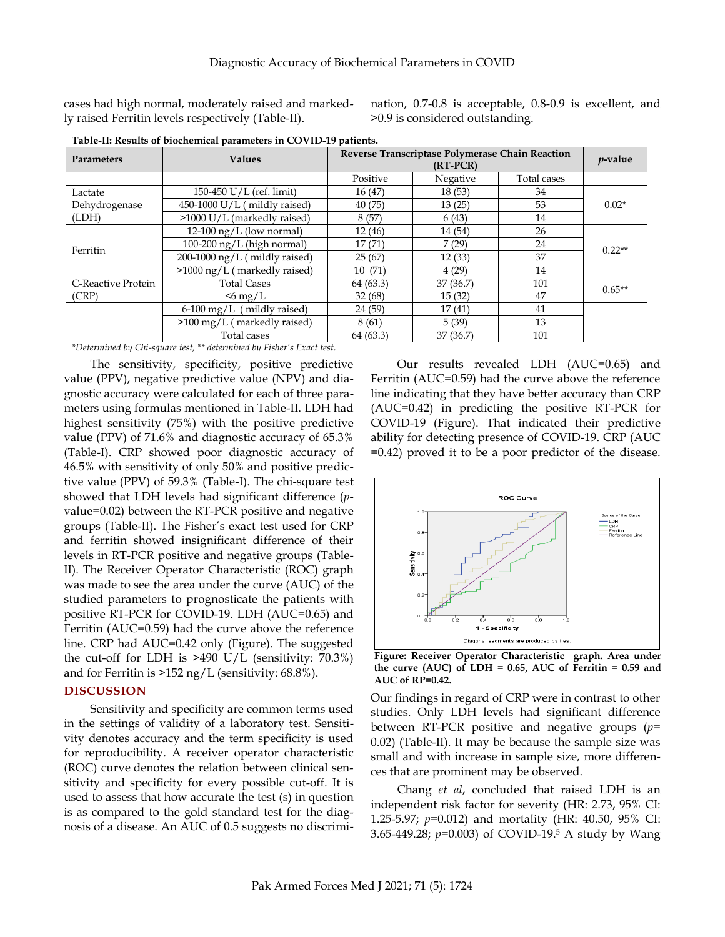cases had high normal, moderately raised and markedly raised Ferritin levels respectively (Table-II).

nation, 0.7-0.8 is acceptable, 0.8-0.9 is excellent, and >0.9 is considered outstanding.

| <b>Parameters</b>  | <b>Values</b>                      | Reverse Transcriptase Polymerase Chain Reaction<br>$(RT-PCR)$ |          |             | $p$ -value |
|--------------------|------------------------------------|---------------------------------------------------------------|----------|-------------|------------|
|                    |                                    | Positive                                                      | Negative | Total cases |            |
| Lactate            | 150-450 U/L (ref. limit)           | 16 (47)                                                       | 18(53)   | 34          | $0.02*$    |
| Dehydrogenase      | 450-1000 U/L (mildly raised)       | 40(75)                                                        | 13(25)   | 53          |            |
| (LDH)              | >1000 U/L (markedly raised)        | 8(57)                                                         | 6(43)    | 14          |            |
| Ferritin           | 12-100 $\frac{ng}{L}$ (low normal) | 12(46)                                                        | 14 (54)  | 26          | $0.22**$   |
|                    | $100-200$ ng/L (high normal)       | 17(71)                                                        | 7(29)    | 24          |            |
|                    | $200-1000$ ng/L (mildly raised)    | 25(67)                                                        | 12(33)   | 37          |            |
|                    | >1000 ng/L (markedly raised)       | 10(71)                                                        | 4(29)    | 14          |            |
| C-Reactive Protein | <b>Total Cases</b>                 | 64 (63.3)                                                     | 37(36.7) | 101         | $0.65**$   |
| (CRP)              | $\leq 6$ mg/L                      | 32(68)                                                        | 15(32)   | 47          |            |
|                    | $6-100$ mg/L (mildly raised)       | 24 (59)                                                       | 17(41)   | 41          |            |
|                    | $>100$ mg/L (markedly raised)      | 8(61)                                                         | 5(39)    | 13          |            |
|                    | Total cases                        | 64(63.3)                                                      | 37(36.7) | 101         |            |

**Table-II: Results of biochemical parameters in COVID-19 patients.**

*\*Determined by Chi-square test, \*\* determined by Fisher's Exact test.*

The sensitivity, specificity, positive predictive value (PPV), negative predictive value (NPV) and diagnostic accuracy were calculated for each of three parameters using formulas mentioned in Table-II. LDH had highest sensitivity (75%) with the positive predictive value (PPV) of 71.6% and diagnostic accuracy of 65.3% (Table-I). CRP showed poor diagnostic accuracy of 46.5% with sensitivity of only 50% and positive predictive value (PPV) of 59.3% (Table-I). The chi-square test showed that LDH levels had significant difference (*p*value=0.02) between the RT-PCR positive and negative groups (Table-II). The Fisher's exact test used for CRP and ferritin showed insignificant difference of their levels in RT-PCR positive and negative groups (Table-II). The Receiver Operator Characteristic (ROC) graph was made to see the area under the curve (AUC) of the studied parameters to prognosticate the patients with positive RT-PCR for COVID-19. LDH (AUC=0.65) and Ferritin (AUC=0.59) had the curve above the reference line. CRP had AUC=0.42 only (Figure). The suggested the cut-off for LDH is  $>490$  U/L (sensitivity: 70.3%) and for Ferritin is >152 ng/L (sensitivity: 68.8%).

### **DISCUSSION**

Sensitivity and specificity are common terms used in the settings of validity of a laboratory test. Sensitivity denotes accuracy and the term specificity is used for reproducibility. A receiver operator characteristic (ROC) curve denotes the relation between clinical sensitivity and specificity for every possible cut-off. It is used to assess that how accurate the test (s) in question is as compared to the gold standard test for the diagnosis of a disease. An AUC of 0.5 suggests no discrimi-

Our results revealed LDH (AUC=0.65) and Ferritin (AUC=0.59) had the curve above the reference line indicating that they have better accuracy than CRP (AUC=0.42) in predicting the positive RT-PCR for COVID-19 (Figure). That indicated their predictive ability for detecting presence of COVID-19. CRP (AUC =0.42) proved it to be a poor predictor of the disease.



**Figure: Receiver Operator Characteristic graph. Area under the curve (AUC) of LDH = 0.65, AUC of Ferritin = 0.59 and AUC of RP=0.42.**

Our findings in regard of CRP were in contrast to other studies. Only LDH levels had significant difference between RT-PCR positive and negative groups (*p*= 0.02) (Table-II). It may be because the sample size was small and with increase in sample size, more differences that are prominent may be observed.

Chang *et al*, concluded that raised LDH is an independent risk factor for severity (HR: 2.73, 95% CI: 1.25-5.97; *p*=0.012) and mortality (HR: 40.50, 95% CI: 3.65-449.28; *p*=0.003) of COVID-19. <sup>5</sup> A study by Wang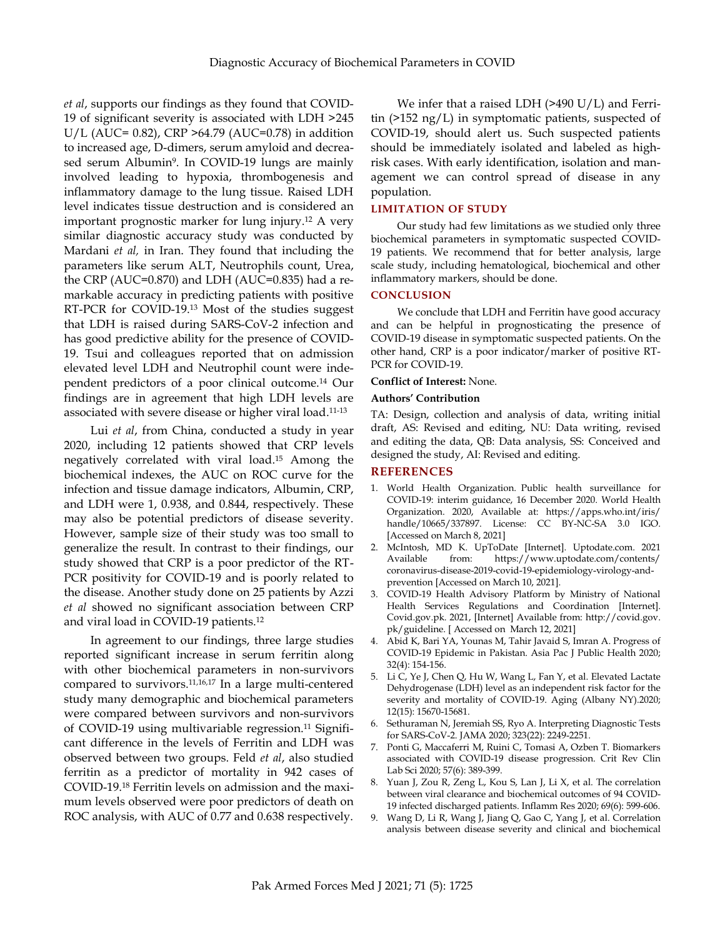*et al*, supports our findings as they found that COVID-19 of significant severity is associated with LDH >245 U/L (AUC= 0.82), CRP >64.79 (AUC=0.78) in addition to increased age, D-dimers, serum amyloid and decreased serum Albumin<sup>9</sup>. In COVID-19 lungs are mainly involved leading to hypoxia, thrombogenesis and inflammatory damage to the lung tissue. Raised LDH level indicates tissue destruction and is considered an important prognostic marker for lung injury. <sup>12</sup> A very similar diagnostic accuracy study was conducted by Mardani *et al,* in Iran. They found that including the parameters like serum ALT, Neutrophils count, Urea, the CRP (AUC=0.870) and LDH (AUC=0.835) had a remarkable accuracy in predicting patients with positive RT-PCR for COVID-19. <sup>13</sup> Most of the studies suggest that LDH is raised during SARS-CoV-2 infection and has good predictive ability for the presence of COVID-19. Tsui and colleagues reported that on admission elevated level LDH and Neutrophil count were independent predictors of a poor clinical outcome. <sup>14</sup> Our findings are in agreement that high LDH levels are associated with severe disease or higher viral load. 11-13

Lui *et al*, from China, conducted a study in year 2020, including 12 patients showed that CRP levels negatively correlated with viral load. <sup>15</sup> Among the biochemical indexes, the AUC on ROC curve for the infection and tissue damage indicators, Albumin, CRP, and LDH were 1, 0.938, and 0.844, respectively. These may also be potential predictors of disease severity. However, sample size of their study was too small to generalize the result. In contrast to their findings, our study showed that CRP is a poor predictor of the RT-PCR positivity for COVID-19 and is poorly related to the disease. Another study done on 25 patients by Azzi *et al* showed no significant association between CRP and viral load in COVID-19 patients. 12

In agreement to our findings, three large studies reported significant increase in serum ferritin along with other biochemical parameters in non-survivors compared to survivors. 11,16,17 In a large multi-centered study many demographic and biochemical parameters were compared between survivors and non-survivors of COVID-19 using multivariable regression. <sup>11</sup> Significant difference in the levels of Ferritin and LDH was observed between two groups. Feld *et al*, also studied ferritin as a predictor of mortality in 942 cases of COVID-19. <sup>18</sup> Ferritin levels on admission and the maximum levels observed were poor predictors of death on ROC analysis, with AUC of 0.77 and 0.638 respectively.

We infer that a raised LDH (>490 U/L) and Ferritin (>152 ng/L) in symptomatic patients, suspected of COVID-19, should alert us. Such suspected patients should be immediately isolated and labeled as highrisk cases. With early identification, isolation and management we can control spread of disease in any population.

#### **LIMITATION OF STUDY**

Our study had few limitations as we studied only three biochemical parameters in symptomatic suspected COVID-19 patients. We recommend that for better analysis, large scale study, including hematological, biochemical and other inflammatory markers, should be done.

#### **CONCLUSION**

We conclude that LDH and Ferritin have good accuracy and can be helpful in prognosticating the presence of COVID-19 disease in symptomatic suspected patients. On the other hand, CRP is a poor indicator/marker of positive RT-PCR for COVID-19.

#### **Conflict of Interest:** None.

#### **Authors' Contribution**

TA: Design, collection and analysis of data, writing initial draft, AS: Revised and editing, NU: Data writing, revised and editing the data, QB: Data analysis, SS: Conceived and designed the study, AI: Revised and editing.

### **REFERENCES**

- 1. World Health Organization. Public health surveillance for COVID-19: interim guidance, 16 December 2020. World Health Organization. 2020, Available at: [https://apps.who.int/iris/](https://apps.who.int/iris/handle/10665/337897) [handle/10665/337897.](https://apps.who.int/iris/handle/10665/337897) License: CC BY-NC-SA 3.0 IGO. [Accessed on March 8, 2021]
- 2. McIntosh, MD K. UpToDate [Internet]. Uptodate.com. 2021 Available from: [https://www.uptodate.com/contents/](https://www.uptodate.com/contents/coronavirus-disease-2019-covid-19-epidemiology-virology-and-prevention) [coronavirus-disease-2019-covid-19-epidemiology-virology-and](https://www.uptodate.com/contents/coronavirus-disease-2019-covid-19-epidemiology-virology-and-prevention)[prevention](https://www.uptodate.com/contents/coronavirus-disease-2019-covid-19-epidemiology-virology-and-prevention) [Accessed on March 10, 2021].
- 3. COVID-19 Health Advisory Platform by Ministry of National Health Services Regulations and Coordination [Internet]. Covid.gov.pk. 2021, [Internet] Available from[: http://covid.gov.](http://covid.gov.pk/guideline) [pk/guideline.](http://covid.gov.pk/guideline) [ Accessed on March 12, 2021]
- 4. Abid K, Bari YA, Younas M, Tahir Javaid S, Imran A. Progress of COVID-19 Epidemic in Pakistan. Asia Pac J Public Health 2020; 32(4): 154-156.
- 5. Li C, Ye J, Chen Q, Hu W, Wang L, Fan Y, et al. Elevated Lactate Dehydrogenase (LDH) level as an independent risk factor for the severity and mortality of COVID-19. Aging (Albany NY).2020; 12(15): 15670-15681.
- 6. Sethuraman N, Jeremiah SS, Ryo A. Interpreting Diagnostic Tests for SARS-CoV-2. JAMA 2020; 323(22): 2249-2251.
- 7. Ponti G, Maccaferri M, Ruini C, Tomasi A, Ozben T. Biomarkers associated with COVID-19 disease progression. Crit Rev Clin Lab Sci 2020; 57(6): 389-399.
- 8. Yuan J, Zou R, Zeng L, Kou S, Lan J, Li X, et al. The correlation between viral clearance and biochemical outcomes of 94 COVID-19 infected discharged patients. Inflamm Res 2020; 69(6): 599-606.
- 9. Wang D, Li R, Wang J, Jiang Q, Gao C, Yang J, et al. Correlation analysis between disease severity and clinical and biochemical